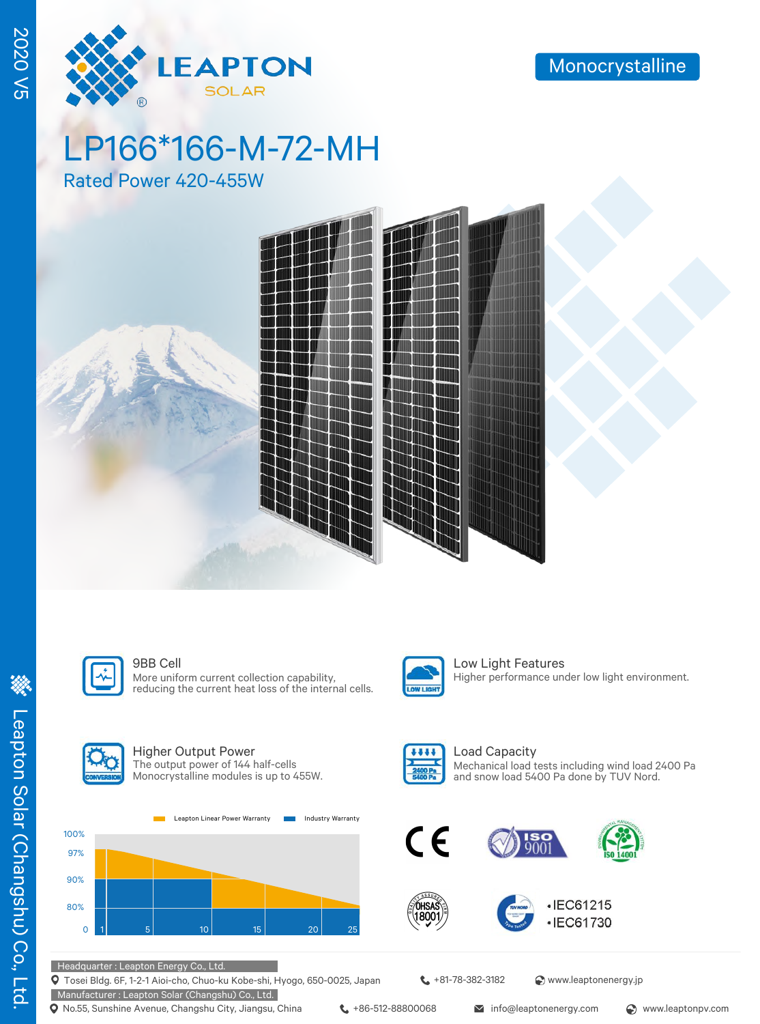

# LP166\*166-M-72-MH

Rated Power 420-455W





More uniform current collection capability, reducing the current heat loss of the internal cells.



**9BB Cell** Low Light Features Higher performance under low light environment.



100% 97%

#### Higher Output Power The output power of 144 half-cells Monocrystalline modules is up to 455W.

Leapton Linear Power Warranty **Industry Warranty** 





óhsa 1800

Load Capacity Mechanical load tests including wind load 2400 Pa and snow load 5400 Pa done by TUV Nord.







Headquarter : Leapton Energy Co., Ltd.

Tosei Bldg. 6F, 1-2-1 Aioi-cho, Chuo-ku Kobe-shi, Hyogo, 650-0025, Japan

Manufacturer : Leapton Solar (Changshu) Co., Ltd. **Q** No.55, Sunshine Avenue, Changshu City, Jiangsu, China  $\leftarrow$  +86-512-88800068 info@leaptonenergy.com  $\odot$  www.leaptonpv.com

 $\leftarrow$  +81-78-382-3182  $\bullet$  www.leaptonenergy.jp

2020 V5

**2020 V5**